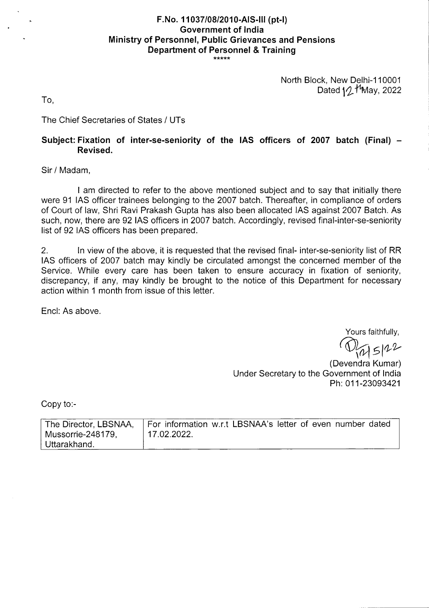# **F.No. 11037/08/2010-AIS-Ill (pt-I) Government of India Ministry of Personnel, Public Grievances and Pensions Department of Personnel** & **Training**

North Block, New Delhi-110001 Dated  $1/2$  <sup>1</sup>May, 2022

To,

The Chief Secretaries of States / UTs

## **Subject: Fixation of inter-se-seniority of the lAS officers of 2007 batch (Final) — Revised.**

Sir / Madam,

I am directed to refer to the above mentioned subject and to say that initially there were 91 lAS officer trainees belonging to the 2007 batch. Thereafter, in compliance of orders of Court of law, Shri Ravi Prakash Gupta has also been allocated lAS against 2007 Batch. As such, now, there are 92 lAS officers in 2007 batch. Accordingly, revised final-inter-se-seniority list of 92 lAS officers has been prepared.

2. In view of the above, it is requested that the revised final- inter-se-seniority list of RR lAS officers of 2007 batch may kindly be circulated amongst the concerned member of the Service. While every care has been taken to ensure accuracy in fixation of seniority, discrepancy, if any, may kindly be brought to the notice of this Department for necessary action within 1 month from issue of this letter.

End: As above.

Yours faithfully,

 $45122$ 

(Devendra Kumar) Under Secretary to the Government of India Ph: 011-23093421

Copy to:-

| The Director, LBSNAA, | For information w.r.t LBSNAA's letter of even number dated |
|-----------------------|------------------------------------------------------------|
| Mussorrie-248179,     | 17.02.2022.                                                |
| Uttarakhand.          |                                                            |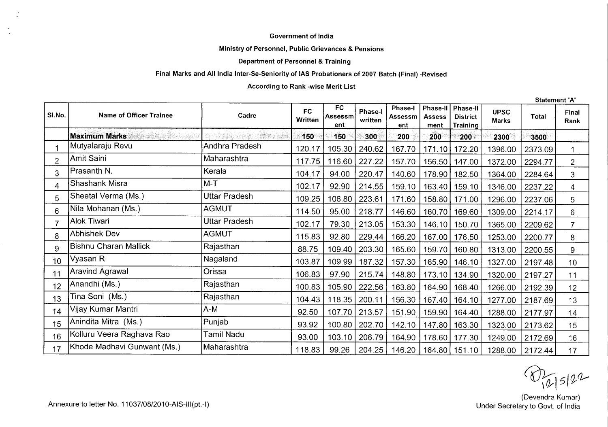#### **Government of India**

#### **Ministry of Personnel, Public Grievances & Pensions**

### **Department of Personnel** & Training

### **Final Marks and All India Inter-Se-Seniority of lAS Probationers of 2007 Batch (Final) -Revised**

### **According to Rank -wise Merit List**

Statement 'A'

| SI.No.          | Name of Officer Trainee                  | Cadre          | <b>FC</b><br>Written | <b>FC</b><br>Assessm<br>ent | <b>Phase-I</b><br>written | Phase-I<br><b>Assessm</b><br>ent | Phase-II<br><b>Assess</b><br>ment | Phase-II<br><b>District</b><br>Training | <b>UPSC</b><br><b>Marks</b> | <b>Total</b> | Final<br>Rank   |
|-----------------|------------------------------------------|----------------|----------------------|-----------------------------|---------------------------|----------------------------------|-----------------------------------|-----------------------------------------|-----------------------------|--------------|-----------------|
|                 | <b>Maximum Marks</b><br>1839 Resolutions |                | 150                  | 150                         | 300                       | 200                              | 200                               | $200\,$                                 | 2300                        | 3500         |                 |
|                 | Mutyalaraju Revu                         | Andhra Pradesh | 120.17               | 105.30                      | 240.62                    | 167.70                           | 171.10                            | 172.20                                  | 1396.00                     | 2373.09      | 1               |
|                 | Amit Saini                               | Maharashtra    | 117.75               | 116.60                      | 227.22                    | 157.70                           | 156.50                            | 147.00                                  | 1372.00                     | 2294.77      | $\overline{2}$  |
| 3               | Prasanth N.                              | Kerala         | 104.17               | 94.00                       | 220.47                    | 140.60                           |                                   | 178.90   182.50                         | 1364.00                     | 2284.64      | 3               |
| 4               | Shashank Misra                           | $M-T$          | 102.17               | 92.90                       | 214.55                    | 159.10                           | 163.40                            | 159.10                                  | 1346.00                     | 2237.22      | 4               |
| 5               | Sheetal Verma (Ms.)                      | Uttar Pradesh  | 109.25               | 106.80                      | 223.61                    | 171.60                           | 158.80                            | 171.00                                  | 1296.00                     | 2237.06      | 5               |
| 6               | Nila Mohanan (Ms.)                       | <b>AGMUT</b>   | 114.50               | 95.00                       | 218.77                    | 146.60                           | 160.70                            | 169.60                                  | 1309.00                     | 2214.17      | 6               |
|                 | Alok Tiwari                              | Uttar Pradesh  | 102.17               | 79.30                       | 213.05                    | 153.30                           | 146.10                            | 150.70                                  | 1365.00                     | 2209.62      | $\overline{7}$  |
| 8               | Abhishek Dev                             | AGMUT          | 115.83               | 92.80                       | 229.44                    | 166.20                           |                                   | 167.00   176.50                         | 1253.00                     | 2200.77      | 8               |
| 9               | Bishnu Charan Mallick                    | Rajasthan      | 88.75                | 109.40                      | 203.30                    | 165.60                           | 159.70                            | 160.80                                  | 1313.00                     | 2200.55      | 9               |
| 10 <sup>°</sup> | Vyasan R                                 | Nagaland       | 103.87               | 109.99                      | 187.32                    | 157.30                           |                                   | 165.90   146.10                         | 1327.00                     | 2197.48      | 10 <sup>°</sup> |
| 11              | Aravind Agrawal                          | Orissa         | 106.83               | 97.90                       | 215.74                    | 148.80                           |                                   | 173.10 134.90                           | 1320.00                     | 2197.27      | 11              |
| 12              | Anandhi (Ms.)                            | Rajasthan      | 100.83               | 105.90                      | 222.56                    | 163.80                           | 164.90                            | 168.40                                  | 1266.00                     | 2192.39      | 12              |
| 13              | Tina Soni (Ms.)                          | Rajasthan      | 104.43               | 118.35                      | 200.11                    | 156.30                           | 167.40                            | 164.10                                  | 1277.00                     | 2187.69      | 13              |
| 14              | Vijay Kumar Mantri                       | A-M            | 92.50                | 107.70                      | 213.57                    | 151.90                           |                                   | 159.90   164.40                         | 1288.00                     | 2177.97      | 14              |
| 15              | Anindita Mitra (Ms.)                     | Punjab         | 93.92                | 100.80                      | 202.70                    | 142.10                           | 147.80                            | 163.30                                  | 1323.00                     | 2173.62      | 15              |
| 16              | Kolluru Veera Raghava Rao                | Tamil Nadu     | 93.00                | 103.10                      | 206.79                    | 164.90                           |                                   | 178.60   177.30                         | 1249.00                     | 2172.69      | 16              |
| 17              | Khode Madhavi Gunwant (Ms.)              | Maharashtra    | 118.83               | 99.26                       | 204.25                    | 146.20                           |                                   | 164.80   151.10                         | 1288.00                     | 2172.44      | 17              |

 $D_{16|5|22}$ 

(Devendra Kumar)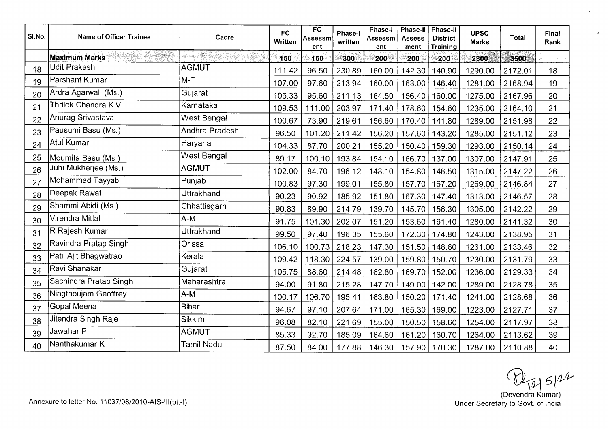| SI.No. | <b>Name of Officer Trainee</b> | Cadre                       | <b>FC</b><br>Written | <b>FC</b><br>Assessm<br>ent | <b>Phase-I</b><br>written | Phase-I<br>Assessm<br>ent | Phase-II<br><b>Assess</b><br>ment | <b>Phase-II</b><br><b>District</b><br><b>Training</b> | <b>UPSC</b><br><b>Marks</b> | Total   | Final<br>Rank |
|--------|--------------------------------|-----------------------------|----------------------|-----------------------------|---------------------------|---------------------------|-----------------------------------|-------------------------------------------------------|-----------------------------|---------|---------------|
|        | <b>Maximum Marks</b>           | dinasti<br>San Bellet (Birk | 150                  | 150                         | 300                       | 200                       | 200                               | 200                                                   | 2300                        | 3500    |               |
| 18     | <b>Udit Prakash</b>            | <b>AGMUT</b>                | 111.42               | 96.50                       | 230.89                    | 160.00                    | 142.30                            | 140.90                                                | 1290.00                     | 2172.01 | 18            |
| 19     | Parshant Kumar                 | $M-T$                       | 107.00               | 97.60                       | 213.94                    | 160.00                    | 163.00                            | 146.40                                                | 1281.00                     | 2168.94 | 19            |
| 20     | Ardra Agarwal (Ms.)            | Gujarat                     | 105.33               | 95.60                       | 211.13                    | 164.50                    | 156.40                            | 160.00                                                | 1275.00                     | 2167.96 | 20            |
| 21     | Thrilok Chandra K V            | Karnataka                   | 109.53               | 111.00                      | 203.97                    | 171.40                    | 178.60                            | 154.60                                                | 1235.00                     | 2164.10 | 21            |
| 22     | Anurag Srivastava              | West Bengal                 | 100.67               | 73.90                       | 219.61                    | 156.60                    | 170.40                            | 141.80                                                | 1289.00                     | 2151.98 | 22            |
| 23     | Pausumi Basu (Ms.)             | Andhra Pradesh              | 96.50                | 101.20                      | 211.42                    | 156.20                    | 157.60                            | 143.20                                                | 1285.00                     | 2151.12 | 23            |
| 24     | <b>Atul Kumar</b>              | Haryana                     | 104.33               | 87.70                       | 200.21                    | 155.20                    | 150.40                            | 159.30                                                | 1293.00                     | 2150.14 | 24            |
| 25     | Moumita Basu (Ms.)             | West Bengal                 | 89.17                | 100.10                      | 193.84                    | 154.10                    | 166.70                            | 137.00                                                | 1307.00                     | 2147.91 | 25            |
| 26     | Juhi Mukherjee (Ms.)           | <b>AGMUT</b>                | 102.00               | 84.70                       | 196.12                    | 148.10                    | 154.80                            | 146.50                                                | 1315.00                     | 2147.22 | 26            |
| 27     | Mohammad Tayyab                | Punjab                      | 100.83               | 97.30                       | 199.01                    | 155.80                    | 157.70                            | 167.20                                                | 1269.00                     | 2146.84 | 27            |
| 28     | Deepak Rawat                   | <b>Uttrakhand</b>           | 90.23                | 90.92                       | 185.92                    | 151.80                    |                                   | 167.30   147.40                                       | 1313.00                     | 2146.57 | 28            |
| 29     | Shammi Abidi (Ms.)             | Chhattisgarh                | 90.83                | 89.90                       | 214.79                    | 139.70                    | 145.70                            | 156.30                                                | 1305.00                     | 2142.22 | 29            |
| 30     | Virendra Mittal                | $A-M$                       | 91.75                | 101.30                      | 202.07                    | 151.20                    | 153.60                            | 161.40                                                | 1280.00                     | 2141.32 | 30            |
| 31     | R Rajesh Kumar                 | Uttrakhand                  | 99.50                | 97.40                       | 196.35                    | 155.60                    | 172.30                            | 174.80                                                | 1243.00                     | 2138.95 | 31            |
| 32     | Ravindra Pratap Singh          | Orissa                      | 106.10               | 100.73                      | 218.23                    | 147.30                    | 151.50                            | 148.60                                                | 1261.00                     | 2133.46 | 32            |
| 33     | Patil Ajit Bhagwatrao          | Kerala                      | 109.42               | 118.30                      | 224.57                    | 139.00                    | 159.80                            | 150.70                                                | 1230.00                     | 2131.79 | 33            |
| 34     | Ravi Shanakar                  | Gujarat                     | 105.75               | 88.60                       | 214.48                    | 162.80                    | 169.70                            | 152.00                                                | 1236.00                     | 2129.33 | 34            |
| 35     | Sachindra Pratap Singh         | Maharashtra                 | 94.00                | 91.80                       | 215.28                    | 147.70                    | 149.00                            | 142.00                                                | 1289.00                     | 2128.78 | 35            |
| 36     | Ningthoujam Geoffrey           | $A-M$                       | 100.17               | 106.70                      | 195.41                    | 163.80                    | 150.20                            | 171.40                                                | 1241.00                     | 2128.68 | 36            |
| 37     | Gopal Meena                    | <b>Bihar</b>                | 94.67                | 97.10                       | 207.64                    | 171.00                    | 165.30                            | 169.00                                                | 1223.00                     | 2127.71 | 37            |
| 38     | Jitendra Singh Raje            | <b>Sikkim</b>               | 96.08                | 82.10                       | 221.69                    | 155.00                    | 150.50                            | 158.60                                                | 1254.00                     | 2117.97 | 38            |
| 39     | Jawahar P                      | <b>AGMUT</b>                | 85.33                | 92.70                       | 185.09                    | 164.60                    | 161.20                            | 160.70                                                | 1264.00                     | 2113.62 | 39            |
| 40     | Nanthakumar K                  | Tamil Nadu                  | 87.50                | 84.00                       | 177.88                    | 146.30                    |                                   | 157.90 170.30                                         | 1287.00                     | 2110.88 | 40            |

 $\hat{\mathbb{Z}}$ 

 $\mathbb{R}^2$ 

 $\bigotimes_{(\text{Devendra Kumar})} 5/2^2$ <br>Under Secretary to Govt. of India

Annexure to letter No. 11037/08/2010-AIS-III(pt.-i)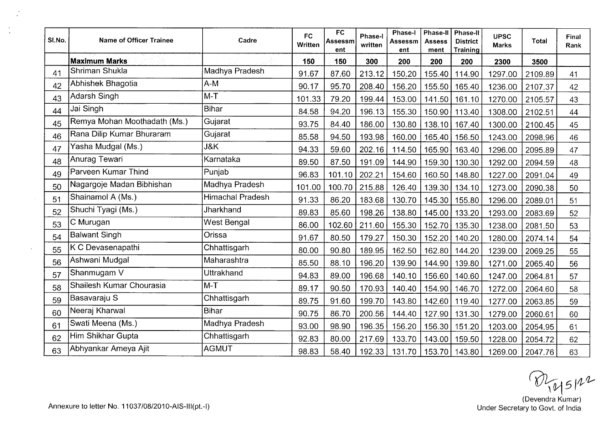| SI.No. | <b>Name of Officer Trainee</b> | Cadre                   | <b>FC</b><br>Written | <b>FC</b><br><b>Assessm</b><br>ent | Phase-I<br>written | Phase-I<br>Assessm<br>ent | Phase-II<br><b>Assess</b><br>ment | Phase-II<br><b>District</b><br>Training | <b>UPSC</b><br><b>Marks</b> | <b>Total</b> | Final<br>Rank |
|--------|--------------------------------|-------------------------|----------------------|------------------------------------|--------------------|---------------------------|-----------------------------------|-----------------------------------------|-----------------------------|--------------|---------------|
|        | <b>Maximum Marks</b>           |                         | 150                  | 150                                | 300                | 200                       | 200                               | 200                                     | 2300                        | 3500         |               |
| 41     | Shriman Shukla                 | Madhya Pradesh          | 91.67                | 87.60                              | 213.12             | 150.20                    | 155.40                            | 114.90                                  | 1297.00                     | 2109.89      | 41            |
| 42     | Abhishek Bhagotia              | $A-M$                   | 90.17                | 95.70                              | 208.40             | 156.20                    | 155.50                            | 165.40                                  | 1236.00                     | 2107.37      | 42            |
| 43     | Adarsh Singh                   | $M-T$                   | 101.33               | 79.20                              | 199.44             | 153.00                    | 141.50                            | 161.10                                  | 1270.00                     | 2105.57      | 43            |
| 44     | Jai Singh                      | <b>Bihar</b>            | 84.58                | 94.20                              | 196.13             | 155.30                    | 150.90                            | 113.40                                  | 1308.00                     | 2102.51      | 44            |
| 45     | Remya Mohan Moothadath (Ms.)   | Gujarat                 | 93.75                | 84.40                              | 186.00             | 130.80                    | 138.10                            | 167.40                                  | 1300.00                     | 2100.45      | 45            |
| 46     | Rana Dilip Kumar Bhuraram      | Gujarat                 | 85.58                | 94.50                              | 193.98             | 160.00                    | 165.40                            | 156.50                                  | 1243.00                     | 2098.96      | 46            |
| 47     | Yasha Mudgal (Ms.)             | J&K                     | 94.33                | 59.60                              | 202.16             | 114.50                    | 165.90                            | 163.40                                  | 1296.00                     | 2095.89      | 47            |
| 48     | Anurag Tewari                  | Karnataka               | 89.50                | 87.50                              | 191.09             | 144.90                    | 159.30                            | 130.30                                  | 1292.00                     | 2094.59      | 48            |
| 49     | Parveen Kumar Thind            | Punjab                  | 96.83                | 101.10                             | 202.21             | 154.60                    | 160.50                            | 148.80                                  | 1227.00                     | 2091.04      | 49            |
| 50     | Nagargoje Madan Bibhishan      | Madhya Pradesh          | 101.00               | 100.70                             | 215.88             | 126.40                    | 139.30                            | 134.10                                  | 1273.00                     | 2090.38      | 50            |
| 51     | Shainamol A (Ms.)              | <b>Himachal Pradesh</b> | 91.33                | 86.20                              | 183.68             | 130.70                    | 145.30                            | 155.80                                  | 1296.00                     | 2089.01      | 51            |
| 52     | Shuchi Tyagi (Ms.)             | <b>Jharkhand</b>        | 89.83                | 85.60                              | 198.26             | 138.80                    | 145.00                            | 133.20                                  | 1293.00                     | 2083.69      | 52            |
| 53     | C Murugan                      | West Bengal             | 86.00                | 102.60                             | 211.60             | 155.30                    | 152.70                            | 135.30                                  | 1238.00                     | 2081.50      | 53            |
| 54     | <b>Balwant Singh</b>           | Orissa                  | 91.67                | 80.50                              | 179.27             | 150.30                    | 152.20                            | 140.20                                  | 1280.00                     | 2074.14      | 54            |
| 55     | K C Devasenapathi              | Chhattisgarh            | 80.00                | 90.80                              | 189.95             | 162.50                    | 162.80                            | 144.20                                  | 1239.00                     | 2069.25      | 55            |
| 56     | Ashwani Mudgal                 | Maharashtra             | 85.50                | 88.10                              | 196.20             | 139.90                    | 144.90                            | 139.80                                  | 1271.00                     | 2065.40      | 56            |
| 57     | Shanmugam V                    | <b>Uttrakhand</b>       | 94.83                | 89.00                              | 196.68             | 140.10                    | 156.60                            | 140.60                                  | 1247.00                     | 2064.81      | 57            |
| 58     | Shailesh Kumar Chourasia       | $M-T$                   | 89.17                | 90.50                              | 170.93             | 140.40                    | 154.90                            | 146.70                                  | 1272.00                     | 2064.60      | 58            |
| 59     | Basavaraju S                   | Chhattisgarh            | 89.75                | 91.60                              | 199.70             | 143.80                    | 142.60                            | 119.40                                  | 1277.00                     | 2063.85      | 59            |
| 60     | Neeraj Kharwal                 | <b>Bihar</b>            | 90.75                | 86.70                              | 200.56             | 144.40                    | 127.90                            | 131.30                                  | 1279.00                     | 2060.61      | 60            |
| 61     | Swati Meena (Ms.)              | Madhya Pradesh          | 93.00                | 98.90                              | 196.35             | 156.20                    | 156.30                            | 151.20                                  | 1203.00                     | 2054.95      | 61            |
| 62     | Him Shikhar Gupta              | Chhattisgarh            | 92.83                | 80.00                              | 217.69             | 133.70                    | 143.00                            | 159.50                                  | 1228.00                     | 2054.72      | 62            |
| 63     | Abhyankar Ameya Ajit           | <b>AGMUT</b>            | 98.83                | 58.40                              | 192.33             |                           |                                   | 131.70   153.70   143.80                | 1269.00                     | 2047.76      | 63            |

 $\bigotimes_{\{\rho\}} 5 |h^2$ <br>(Devendra Kumar)<br>Under Secretary to Govt. of India

 $\frac{1}{2}$ 

 $\sim$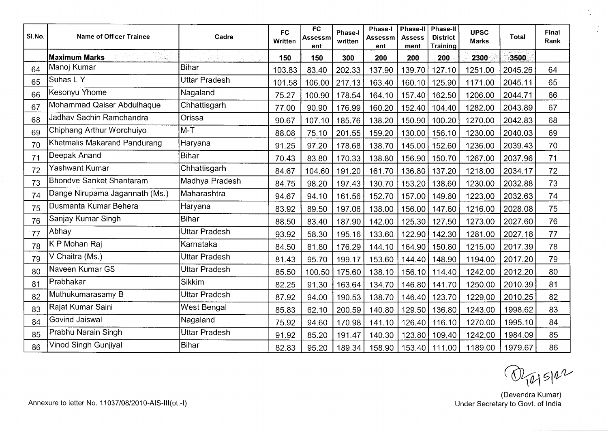| SI.No. | Name of Officer Trainee        | Cadre                | <b>FC</b><br>Written | FC<br>Assessm<br>ent | Phase-I<br>written | Phase-I<br>Assessm<br>ent | <b>Phase-II</b><br><b>Assess</b><br>ment | <b>Phase-II</b><br><b>District</b><br><b>Training</b> | <b>UPSC</b><br><b>Marks</b> | <b>Total</b> | Final<br>Rank |
|--------|--------------------------------|----------------------|----------------------|----------------------|--------------------|---------------------------|------------------------------------------|-------------------------------------------------------|-----------------------------|--------------|---------------|
|        | <b>Maximum Marks</b>           |                      | 150                  | 150                  | 300                | 200                       | 200                                      | 200                                                   | 2300                        | 3500         |               |
| 64     | Manoj Kumar                    | <b>Bihar</b>         | 103.83               | 83.40                | 202.33             | 137.90                    | 139.70                                   | 127.10                                                | 1251.00                     | 2045.26      | 64            |
| 65     | Suhas LY                       | Uttar Pradesh        | 101.58               | 106.00               | 217.13             | 163.40                    | 160.10                                   | 125.90                                                | 1171.00                     | 2045.11      | 65            |
| 66     | Kesonyu Yhome                  | Nagaland             | 75.27                | 100.90               | 178.54             | 164.10                    | 157.40                                   | 162.50                                                | 1206.00                     | 2044.71      | 66            |
| 67     | Mohammad Qaiser Abdulhaque     | Chhattisgarh         | 77.00                | 90.90                | 176.99             | 160.20                    | 152.40                                   | 104.40                                                | 1282.00                     | 2043.89      | 67            |
| 68     | Jadhav Sachin Ramchandra       | Orissa               | 90.67                | 107.10               | 185.76             | 138.20                    | 150.90                                   | 100.20                                                | 1270.00                     | 2042.83      | 68            |
| 69     | Chiphang Arthur Worchuiyo      | $M-T$                | 88.08                | 75.10                | 201.55             | 159.20                    | 130.00                                   | 156.10                                                | 1230.00                     | 2040.03      | 69            |
| 70     | Khetmalis Makarand Pandurang   | Haryana              | 91.25                | 97.20                | 178.68             | 138.70                    | 145.00                                   | 152.60                                                | 1236.00                     | 2039.43      | 70            |
| 71     | Deepak Anand                   | Bihar                | 70.43                | 83.80                | 170.33             | 138.80                    | 156.90                                   | 150.70                                                | 1267.00                     | 2037.96      | 71            |
| 72     | Yashwant Kumar                 | Chhattisgarh         | 84.67                | 104.60               | 191.20             | 161.70                    | 136.80                                   | 137.20                                                | 1218.00                     | 2034.17      | 72            |
| 73     | Bhondve Sanket Shantaram       | Madhya Pradesh       | 84.75                | 98.20                | 197.43             | 130.70                    | 153.20                                   | 138.60                                                | 1230.00                     | 2032.88      | 73            |
| 74     | Dange Nirupama Jagannath (Ms.) | Maharashtra          | 94.67                | 94.10                | 161.56             | 152.70                    | 157.00                                   | 149.60                                                | 1223.00                     | 2032.63      | 74            |
| 75     | Dusmanta Kumar Behera          | Haryana              | 83.92                | 89.50                | 197.06             | 138.00                    | 156.00                                   | 147.60                                                | 1216.00                     | 2028.08      | 75            |
| 76     | Sanjay Kumar Singh             | Bihar                | 88.50                | 83.40                | 187.90             | 142.00                    | 125.30                                   | 127.50                                                | 1273.00                     | 2027.60      | 76            |
| 77     | Abhay                          | Uttar Pradesh        | 93.92                | 58.30                | 195.16             | 133.60                    | 122.90                                   | 142.30                                                | 1281.00                     | 2027.18      | 77            |
| 78     | K P Mohan Raj                  | Karnataka            | 84.50                | 81.80                | 176.29             | 144.10                    | 164.90                                   | 150.80                                                | 1215.00                     | 2017.39      | 78            |
| 79     | V Chaitra (Ms.)                | <b>Uttar Pradesh</b> | 81.43                | 95.70                | 199.17             | 153.60                    | 144.40                                   | 148.90                                                | 1194.00                     | 2017.20      | 79            |
| 80     | Naveen Kumar GS                | Uttar Pradesh        | 85.50                | 100.50               | 175.60             | 138.10                    | 156.10                                   | 114.40                                                | 1242.00                     | 2012.20      | 80            |
| 81     | Prabhakar                      | <b>Sikkim</b>        | 82.25                | 91.30                | 163.64             | 134.70                    | 146.80                                   | 141.70                                                | 1250.00                     | 2010.39      | 81            |
| 82     | Muthukumarasamy B              | Uttar Pradesh        | 87.92                | 94.00                | 190.53             | 138.70                    | 146.40                                   | 123.70                                                | 1229.00                     | 2010.25      | 82            |
| 83     | Rajat Kumar Saini              | West Bengal          | 85.83                | 62.10                | 200.59             | 140.80                    | 129.50                                   | 136.80                                                | 1243.00                     | 1998.62      | 83            |
| 84     | Govind Jaiswal                 | Nagaland             | 75.92                | 94.60                | 170.98             | 141.10                    | 126.40                                   | 116.10                                                | 1270.00                     | 1995.10      | 84            |
| 85     | Prabhu Narain Singh            | <b>Uttar Pradesh</b> | 91.92                | 85.20                | 191.47             | 140.30                    | 123.80                                   | 109.40                                                | 1242.00                     | 1984.09      | 85            |
| 86     | Vinod Singh Gunjiyal           | <b>Bihar</b>         | 82.83                | 95.20                | 189.34             | 158.90                    |                                          | 153.40 111.00                                         | 1189.00                     | 1979.67      | 86            |

 $\bigcirc \mathcal{D}_{\{1\}}\mathcal{S}_{\{1\}}$ 

 $\frac{1}{2}$ 

 $\frac{1}{2}$ 

(Devendra Kumar)<br>Under Secretary to Govt. of India

 $\sim 10$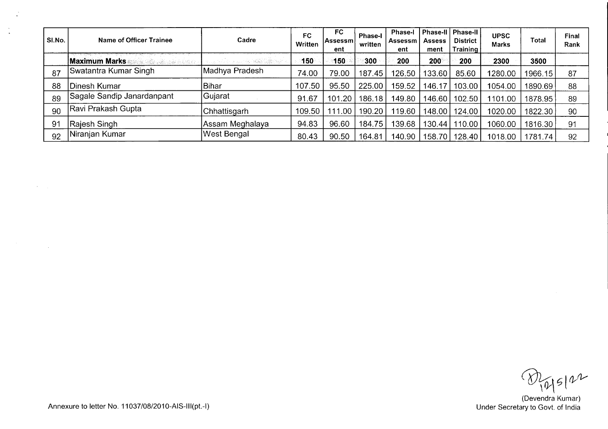| SI.No. | Name of Officer Trainee                  | Cadre                     | FC<br>Written | FC.<br> Assessml<br>ent | <b>Phase-I</b><br>written | <b>Phase-I</b><br>Assessm<br>ent | <b>Assess</b><br>ment | <b>District</b><br>Training | <b>UPSC</b><br><b>Marks</b> | Total   | <b>Final</b><br>Rank |
|--------|------------------------------------------|---------------------------|---------------|-------------------------|---------------------------|----------------------------------|-----------------------|-----------------------------|-----------------------------|---------|----------------------|
|        | Maximum Marks<br><b>SERIA COLLECTION</b> | a sa mga matalogiya ng pa | 150           | 150.                    | 300                       | 200                              | <b>200</b>            | 200                         | 2300                        | 3500    |                      |
| 87     | Swatantra Kumar Singh                    | Madhya Pradesh            | 74.00         | 79.00                   | 187.45                    | 126.50                           | 133.60                | 85.60                       | 1280.00                     | 1966.15 | 87                   |
| 88     | Dinesh Kumar                             | Bihar                     | 107.50        | 95.50                   | 225.00                    | 159.52                           | 146.17                | 103.00                      | 1054.00                     | 1890.69 | 88                   |
| 89     | Sagale Sandip Janardanpant               | Gujarat                   | 91.67         | 101.20                  | 186.18                    | 149.80                           | 146.60                | 102.50                      | 1101.00                     | 1878.95 | 89                   |
| 90     | Ravi Prakash Gupta                       | <b>Chhattisgarh</b>       | 109.50        | 111.00                  | 190.20                    | 119.60                           | 148.00                | 124.00                      | 1020.00                     | 1822.30 | 90                   |
| 91     | Rajesh Singh                             | Assam Meghalaya           | 94.83         | 96.60                   | 184.75                    | 139.68                           |                       | 130.44   110.00             | 1060.00                     | 1816.30 | 91                   |
| 92     | Niranjan Kumar                           | West Bengal               | 80.43         | 90.50                   | 164.81                    | 140.90                           |                       | 158.70   128.40             | 1018.00                     | 1781.74 | 92                   |

 $\bigotimes_{\{0\}}$   $\in$   $\{0\}$ <br>(Devendra Kumar)<br>Under Secretary to Govt. of India

Annexure to letter No. 11037/08/2010-AIS-III(pt.-I)

 $\sim$   $\omega$ 

 $\mathcal{A}^{\text{max}}_{\text{max}}$ 

 $\ddot{\phantom{a}}$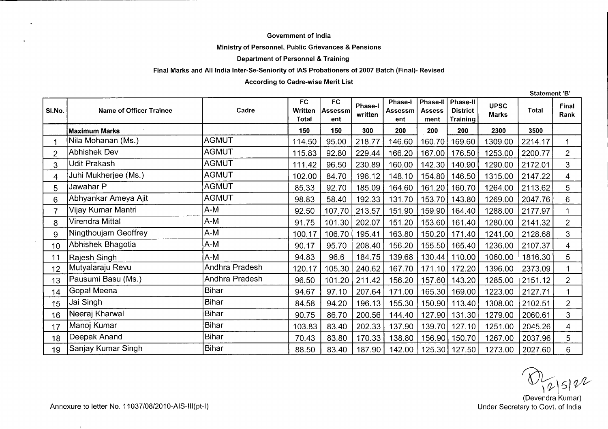#### **Government of India**

#### **Ministry of Personnel, Public Grievances & Pensions**

#### **Department of Personnel** & **Training**

#### **Final Marks and All India Inter-Se-Seniority of lAS Probationers of 2007 Batch (Final)- Revised**

#### **According to Cadre-wise Merit List**

SI.No. Name of Officer Trainee **Name of Officer Trainee FC Written Total FC Assessm ent Phase-I . written Phase-I Assessm ent Phase-Il Assess ment Phase-Il**  rnase-n<br>District . . **Training UPSC Marks Total Final Rank Maximum Marks 150 150 300 200 200**  160.70 **200 2300 3500**  1 Nila Mohanan (Ms.) AGMUT | 114.50 | 95.00 | 218.77 | 146.60 | 160.70 | 169.60 | 1309.00 |2214.17 | 1 2 Abhishek Dev AGMUT 115.83 92.80 229.44 166.20 167.00 176.50 1253.00 2200.77 2 3 |Udit Prakash |AGMUT | 111.42 | 96.50 | 230.89 | 160.00 | 142.30 | 140.90 | 1290.00 |2172.01 | 3 4 |Juhi Mukherjee (Ms.) |AGMUT | 102.00 | 84.70 | 196.12 | 148.10 | 154.80 | 146.50 | 1315.00 |2147.22 | 4 5 JawaharP AGMUT 85.33 92.70 185.09 164.60 161.20 160.70 1264.00 2113.62 5 6 Abhyankar Ameya Ajit **AGMUT** 88.83 | 58.40 | 192.33 | 131.70 | 153.70 | 143.80 | 1269.00 | 2047.76 | 6 7 |Vijay Kumar Mantri \_\_\_\_\_\_\_\_\_\_\_\_\_\_\_|A-M \_\_\_\_\_\_\_\_\_\_\_\_\_\_\_|\_92.50 | 107.70 | 213.57 | 151.90 | 159.90 | 164.40 | 1288.00 |2177.97 | \_ 1 8 Virendra Mittal |A-M | 91.75 | 101.30 | 202.07 | 151.20 | 153.60 | 161.40 | 1280.00 |2141.32 | 2 9 Ningthoujam Geoffrey A-M 100.17 | 106.70 | 195.41 | 163.80 | 150.20 | 171.40 | 1241.00 | 2128.68 | 3 10 Abhishek Bhagotia A-M 90.17 | 95.70 | 208.40 | 156.20 | 155.50 | 165.40 | 1236.00 | 2107.37 | 4 11 Rajesh Singh |A-M | 94.83 | 96.6 | 184.75 | 139.68 | 130.44 | 110.00 | 1060.00 |1816.30 | 5 12 Mutyalaraju Revu Andhra Pradesh 120.17 | 105.30 | 240.62 | 167.70 | 171.10 | 172.20 | 1396.00 | 2373.09 | 1 13 Pausumi Basu (Ms.) Andhra Pradesh 96.50 101.20 211.42 156.20 157.60 143.20 1285.00 2151.12 2 14 Gopal Meena Bihar 94.67 97.10 207.64 171.00 165.30 169.00 1223.00 2127.71 1 15 Jai Singh Bihar 84.58 94.20 196.13 155.30 150.90 113.40 1308.00 2102.51 2 16 Neeraj Kharwal Bihar 90.75 86.70 200.56 144.40 127.90 131.30 1279.00 2060.61 3 17 Manoj Kumar Bihar 103.83 83.40 202.33 137.90 139.70 127.10 1251.00 2045.26 4 18 Deepak Anand **Bihar 19.43 | 83.80 | 170.43** 138.80 | 136.90 | 150.70 | 1267.00 | 2037.96 | 5 19 Sanjay Kumar Singh Bihar <u>| 88.50 | 83.40 | 187.90 | 142.00 | 125.30 | 127.50 | 1273.00 | 2027.60 | 6</u>

(Devendra Kumar)

**Statement 'B'**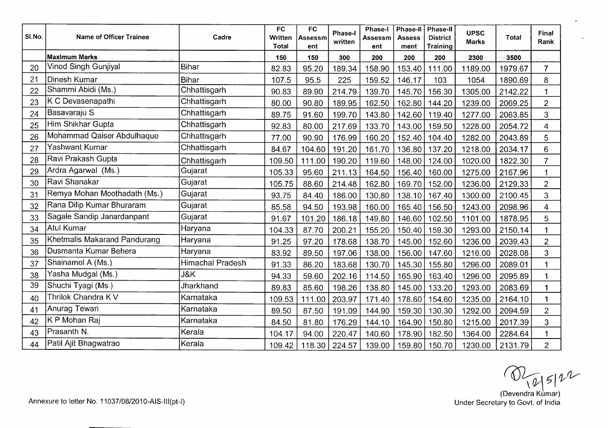| SI.No. | <b>Name of Officer Trainee</b> | Cadre            | FC<br>Written<br><b>Total</b> | <b>FC</b><br>Assessm<br>ent | <b>Phase-I</b><br>written | Phase-I<br><b>Assessm</b><br>ent | Phase-II<br><b>Assess</b><br>ment | <b>Phase-II</b><br><b>District</b><br>Training | <b>UPSC</b><br><b>Marks</b> | <b>Total</b> | Final<br>Rank  |
|--------|--------------------------------|------------------|-------------------------------|-----------------------------|---------------------------|----------------------------------|-----------------------------------|------------------------------------------------|-----------------------------|--------------|----------------|
|        | <b>Maximum Marks</b>           |                  | 150                           | 150                         | 300                       | 200                              | 200                               | 200                                            | 2300                        | 3500         |                |
| 20     | Vinod Singh Gunjiyal           | <b>Bihar</b>     | 82.83                         | 95.20                       | 189.34                    | 158.90                           | 153.40                            | 111.00                                         | 1189.00                     | 1979.67      | $\overline{7}$ |
| 21     | Dinesh Kumar                   | <b>Bihar</b>     | 107.5                         | 95.5                        | 225                       | 159.52                           | 146.17                            | 103                                            | 1054                        | 1890.69      | 8              |
| 22     | Shammi Abidi (Ms.)             | Chhattisgarh     | 90.83                         | 89.90                       | 214.79                    | 139.70                           | 145.70                            | 156.30                                         | 1305.00                     | 2142.22      |                |
| 23     | K C Devasenapathi              | Chhattisgarh     | 80.00                         | 90.80                       | 189.95                    | 162.50                           | 162.80                            | 144.20                                         | 1239.00                     | 2069.25      | $\overline{c}$ |
| 24     | Basavaraju S                   | Chhattisgarh     | 89.75                         | 91.60                       | 199.70                    | 143.80                           | 142.60                            | 119.40                                         | 1277.00                     | 2063.85      | $\overline{3}$ |
| 25     | Him Shikhar Gupta              | Chhattisgarh     | 92.83                         | 80.00                       | 217.69                    | 133.70                           | 143.00                            | 159.50                                         | 1228.00                     | 2054.72      | $\overline{4}$ |
| 26     | Mohammad Qaiser Abdulhaque     | Chhattisgarh     | 77.00                         | 90.90                       | 176.99                    | 160.20                           | 152.40                            | 104.40                                         | 1282.00                     | 2043.89      | 5              |
| 27     | Yashwant Kumar                 | Chhattisgarh     | 84.67                         | 104.60                      | 191.20                    | 161.70                           | 136.80                            | 137.20                                         | 1218.00                     | 2034.17      | 6              |
| 28     | Ravi Prakash Gupta             | Chhattisgarh     | 109.50                        | 111.00                      | 190.20                    | 119.60                           | 148.00                            | 124.00                                         | 1020.00                     | 1822.30      | $\overline{7}$ |
| 29     | Ardra Agarwal (Ms.)            | Gujarat          | 105.33                        | 95.60                       | 211.13                    | 164.50                           | 156.40                            | 160.00                                         | 1275.00                     | 2167.96      |                |
| 30     | Ravi Shanakar                  | Gujarat          | 105.75                        | 88.60                       | 214.48                    | 162.80                           | 169.70                            | 152.00                                         | 1236.00                     | 2129.33      | $\overline{2}$ |
| 31     | Remya Mohan Moothadath (Ms.)   | Gujarat          | 93.75                         | 84.40                       | 186.00                    | 130.80                           | 138.10                            | 167.40                                         | 1300.00                     | 2100.45      | 3              |
| 32     | Rana Dilip Kumar Bhuraram      | Gujarat          | 85.58                         | 94.50                       | 193.98                    | 160.00                           | 165.40                            | 156.50                                         | 1243.00                     | 2098.96      | $\overline{4}$ |
| 33     | Sagale Sandip Janardanpant     | Gujarat          | 91.67                         | 101.20                      | 186.18                    | 149.80                           | 146.60                            | 102.50                                         | 1101.00                     | 1878.95      | 5              |
| 34     | Atul Kumar                     | Haryana          | 104.33                        | 87.70                       | 200.21                    | 155.20                           | 150.40                            | 159.30                                         | 1293.00                     | 2150.14      |                |
| 35     | Khetmalis Makarand Pandurang   | Haryana          | 91.25                         | 97.20                       | 178.68                    | 138.70                           | 145.00                            | 152.60                                         | 1236.00                     | 2039.43      | $\overline{2}$ |
| 36     | Dusmanta Kumar Behera          | Haryana          | 83.92                         | 89.50                       | 197.06                    | 138.00                           | 156.00                            | 147.60                                         | 1216.00                     | 2028.08      | 3              |
| 37     | Shainamol A (Ms.)              | Himachal Pradesh | 91.33                         | 86.20                       | 183.68                    | 130.70                           | 145.30                            | 155.80                                         | 1296.00                     | 2089.01      |                |
| 38     | Yasha Mudgal (Ms.)             | J&K              | 94.33                         | 59.60                       | 202.16                    | 114.50                           | 165.90                            | 163.40                                         | 1296.00                     | 2095.89      |                |
| 39     | Shuchi Tyagi (Ms.)             | Jharkhand        | 89.83                         | 85.60                       | 198.26                    | 138.80                           | 145.00                            | 133.20                                         | 1293.00                     | 2083.69      |                |
| 40     | Thrilok Chandra K V            | Karnataka        | 109.53                        | 111.00                      | 203.97                    | 171.40                           | 178.60                            | 154.60                                         | 1235.00                     | 2164.10      |                |
| 41     | Anurag Tewari                  | Karnataka        | 89.50                         | 87.50                       | 191.09                    | 144.90                           | 159.30                            | 130.30                                         | 1292.00                     | 2094.59      | $\overline{2}$ |
| 42     | K P Mohan Raj                  | Karnataka        | 84.50                         | 81.80                       | 176.29                    | 144.10                           | 164.90                            | 150.80                                         | 1215.00                     | 2017.39      | 3              |
| 43     | Prasanth N.                    | Kerala           | 104.17                        | 94.00                       | 220.47                    | 140.60                           | 178.90                            | 182.50                                         | 1364.00                     | 2284.64      |                |
| 44     | Patil Ajit Bhagwatrao          | Kerala           | 109.42                        | 118.30                      | 224.57                    | 139.00                           | 159.80                            | 150.70                                         | 1230.00                     | 2131.79      | $\overline{2}$ |

 $\bigotimes$   $\bigotimes$   $\{B | B | \}$ <br>(Devendra Kumar)<br>Under Secretary to Govt. of India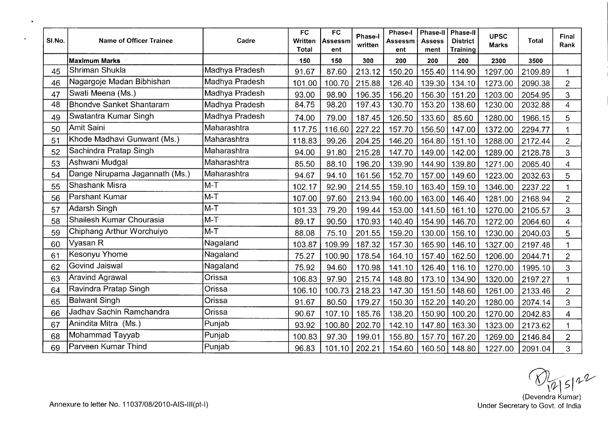| SI.No. | <b>Name of Officer Trainee</b>  | Cadre          | <b>FC</b><br>Written<br>Total | <b>FC</b><br>Assessm<br>ent | Phase-I<br>written | <b>Phase-I</b><br>Assessm<br>ent | Phase-II<br><b>Assess</b><br>ment | <b>Phase-II</b><br><b>District</b><br><b>Training</b> | <b>UPSC</b><br><b>Marks</b> | Total   | Final<br>Rank            |
|--------|---------------------------------|----------------|-------------------------------|-----------------------------|--------------------|----------------------------------|-----------------------------------|-------------------------------------------------------|-----------------------------|---------|--------------------------|
|        | <b>Maximum Marks</b>            |                | 150                           | 150                         | 300                | 200                              | 200                               | 200                                                   | 2300                        | 3500    |                          |
| 45     | Shriman Shukla                  | Madhya Pradesh | 91.67                         | 87.60                       | 213.12             | 150.20                           | 155.40                            | 114.90                                                | 1297.00                     | 2109.89 |                          |
| 46     | Nagargoje Madan Bibhishan       | Madhya Pradesh | 101.00                        | 100.70                      | 215.88             | 126.40                           | 139.30                            | 134.10                                                | 1273.00                     | 2090.38 | $\overline{c}$           |
| 47     | Swati Meena (Ms.)               | Madhya Pradesh | 93.00                         | 98.90                       | 196.35             | 156.20                           | 156.30                            | 151.20                                                | 1203.00                     | 2054.95 | 3                        |
| 48     | <b>Bhondve Sanket Shantaram</b> | Madhya Pradesh | 84.75                         | 98.20                       | 197.43             | 130.70                           | 153.20                            | 138.60                                                | 1230.00                     | 2032.88 | $\overline{4}$           |
| 49     | Swatantra Kumar Singh           | Madhya Pradesh | 74.00                         | 79.00                       | 187.45             | 126.50                           | 133.60                            | 85.60                                                 | 1280.00                     | 1966.15 | 5                        |
| 50     | <b>Amit Saini</b>               | Maharashtra    | 117.75                        | 116.60                      | 227.22             | 157.70                           | 156.50                            | 147.00                                                | 1372.00                     | 2294.77 |                          |
| 51     | Khode Madhavi Gunwant (Ms.)     | Maharashtra    | 118.83                        | 99.26                       | 204.25             | 146.20                           | 164.80                            | 151.10                                                | 1288.00                     | 2172.44 | $\overline{2}$           |
| 52     | Sachindra Pratap Singh          | Maharashtra    | 94.00                         | 91.80                       | 215.28             | 147.70                           | 149.00                            | 142.00                                                | 1289.00                     | 2128.78 | 3                        |
| 53     | Ashwani Mudgal                  | Maharashtra    | 85.50                         | 88.10                       | 196.20             | 139.90                           | 144.90                            | 139.80                                                | 1271.00                     | 2065.40 | $\overline{\mathcal{A}}$ |
| 54     | Dange Nirupama Jagannath (Ms.)  | Maharashtra    | 94.67                         | 94.10                       | 161.56             | 152.70                           | 157.00                            | 149.60                                                | 1223.00                     | 2032.63 | 5                        |
| 55     | Shashank Misra                  | $M-T$          | 102.17                        | 92.90                       | 214.55             | 159.10                           | 163.40                            | 159.10                                                | 1346.00                     | 2237.22 | 1                        |
| 56     | Parshant Kumar                  | $M-T$          | 107.00                        | 97.60                       | 213.94             | 160.00                           | 163.00                            | 146.40                                                | 1281.00                     | 2168.94 | $\overline{2}$           |
| 57     | Adarsh Singh                    | $M-T$          | 101.33                        | 79.20                       | 199.44             | 153.00                           | 141.50                            | 161.10                                                | 1270.00                     | 2105.57 | 3                        |
| 58     | Shailesh Kumar Chourasia        | $M-T$          | 89.17                         | 90.50                       | 170.93             | 140.40                           | 154.90                            | 146.70                                                | 1272.00                     | 2064.60 | $\overline{4}$           |
| 59     | Chiphang Arthur Worchuiyo       | $M-T$          | 88.08                         | 75.10                       | 201.55             | 159.20                           | 130.00                            | 156.10                                                | 1230.00                     | 2040.03 | 5                        |
| 60     | Vyasan R                        | Nagaland       | 103.87                        | 109.99                      | 187.32             | 157.30                           | 165.90                            | 146.10                                                | 1327.00                     | 2197.48 | 1                        |
| 61     | Kesonyu Yhome                   | Nagaland       | 75.27                         | 100.90                      | 178.54             | 164.10                           | 157.40                            | 162.50                                                | 1206.00                     | 2044.71 | $\overline{c}$           |
| 62     | Govind Jaiswal                  | Nagaland       | 75.92                         | 94.60                       | 170.98             | 141.10                           | 126.40                            | 116.10                                                | 1270.00                     | 1995.10 | 3                        |
| 63     | <b>Aravind Agrawal</b>          | Orissa         | 106.83                        | 97.90                       | 215.74             | 148.80                           | 173.10                            | 134.90                                                | 1320.00                     | 2197.27 | 1                        |
| 64     | Ravindra Pratap Singh           | Orissa         | 106.10                        | 100.73                      | 218.23             | 147.30                           | 151.50                            | 148.60                                                | 1261.00                     | 2133.46 | $\overline{2}$           |
| 65     | <b>Balwant Singh</b>            | Orissa         | 91.67                         | 80.50                       | 179.27             | 150.30                           | 152.20                            | 140.20                                                | 1280.00                     | 2074.14 | 3                        |
| 66     | Jadhav Sachin Ramchandra        | Orissa         | 90.67                         | 107.10                      | 185.76             | 138.20                           | 150.90                            | 100.20                                                | 1270.00                     | 2042.83 | $\overline{4}$           |
| 67     | Anindita Mitra (Ms.)            | Punjab         | 93.92                         | 100.80                      | 202.70             | 142.10                           | 147.80                            | 163.30                                                | 1323.00                     | 2173.62 | 1                        |
| 68     | Mohammad Tayyab                 | Punjab         | 100.83                        | 97.30                       | 199.01             | 155.80                           | 157.70                            | 167.20                                                | 1269.00                     | 2146.84 | $\overline{2}$           |
| 69     | Parveen Kumar Thind             | Punjab         | 96.83                         | 101.10                      | 202.21             | 154.60                           | 160.50                            | 148.80                                                | 1227.00                     | 2091.04 | 3                        |

 $\bigotimes_{\{\emptyset\}} 5 \uparrow \emptyset$ <br>
(Devendra Kumar)<br>
Under Secretary to Govt. of India

 $\bullet$